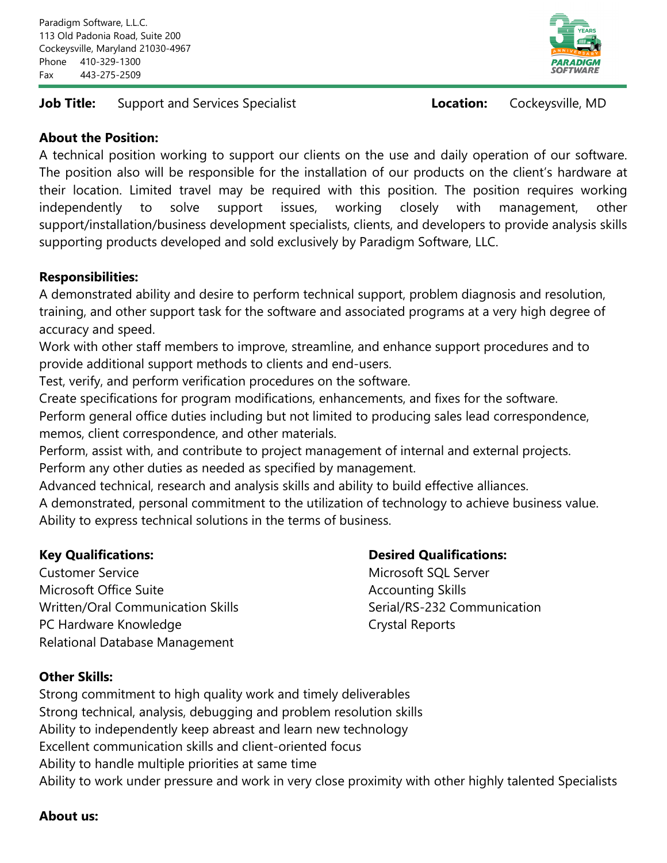### **Job Title:** Support and Services Specialist **Location:** Cockeysville, MD



## **About the Position:**

A technical position working to support our clients on the use and daily operation of our software. The position also will be responsible for the installation of our products on the client's hardware at their location. Limited travel may be required with this position. The position requires working independently to solve support issues, working closely with management, other support/installation/business development specialists, clients, and developers to provide analysis skills supporting products developed and sold exclusively by Paradigm Software, LLC.

### **Responsibilities:**

A demonstrated ability and desire to perform technical support, problem diagnosis and resolution, training, and other support task for the software and associated programs at a very high degree of accuracy and speed.

Work with other staff members to improve, streamline, and enhance support procedures and to provide additional support methods to clients and end-users.

Test, verify, and perform verification procedures on the software.

Create specifications for program modifications, enhancements, and fixes for the software. Perform general office duties including but not limited to producing sales lead correspondence, memos, client correspondence, and other materials.

Perform, assist with, and contribute to project management of internal and external projects. Perform any other duties as needed as specified by management.

Advanced technical, research and analysis skills and ability to build effective alliances.

A demonstrated, personal commitment to the utilization of technology to achieve business value. Ability to express technical solutions in the terms of business.

Customer Service Microsoft SQL Server Microsoft Office Suite Accounting Skills Written/Oral Communication Skills Serial/RS-232 Communication PC Hardware Knowledge **Crystal Reports** Relational Database Management

# **Key Qualifications: Desired Qualifications:**

# **Other Skills:**

Strong commitment to high quality work and timely deliverables Strong technical, analysis, debugging and problem resolution skills Ability to independently keep abreast and learn new technology Excellent communication skills and client-oriented focus Ability to handle multiple priorities at same time Ability to work under pressure and work in very close proximity with other highly talented Specialists

### **About us:**